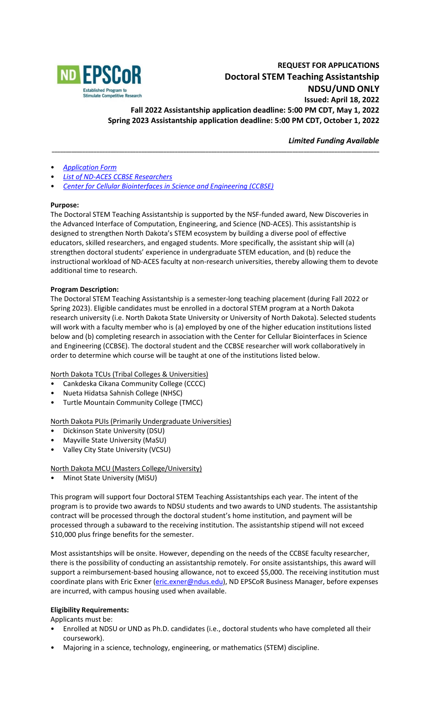

# **REQUEST FOR APPLICATIONS Doctoral STEM Teaching Assistantship NDSU/UND ONLY Issued: April 18, 2022 Fall 2022 Assistantship application deadline: 5:00 PM CDT, May 1, 2022 Spring 2023 Assistantship application deadline: 5:00 PM CDT, October 1, 2022**

*Limited Funding Available*

- *[Application Form](https://www.ndepscor.ndus.edu/fileadmin/ndus/ndepscor/STEM/2022_STEM_TA_App_Form.pdf)*
- *[List of ND-ACES CCBSE Researchers](https://www.ndepscor.ndus.edu/fileadmin/ndus/ndepscor/REU/2021REUResearcherListFINAL.pdf)*
- *[Center for Cellular Biointerfaces in Science and Engineering \(CCBSE\)](https://www.ndepscor.ndus.edu/ndepscorprograms/track_1_nd_aces_prime_institution_ndsu_2020_2025/center_for_cellular_biointerfaces_in_science_and_engineering/)*

#### **Purpose:**

The Doctoral STEM Teaching Assistantship is supported by the NSF-funded award, New Discoveries in the Advanced Interface of Computation, Engineering, and Science (ND-ACES). This assistantship is designed to strengthen North Dakota's STEM ecosystem by building a diverse pool of effective educators, skilled researchers, and engaged students. More specifically, the assistant ship will (a) strengthen doctoral students' experience in undergraduate STEM education, and (b) reduce the instructional workload of ND-ACES faculty at non-research universities, thereby allowing them to devote additional time to research.

**\_\_\_\_\_\_\_\_\_\_\_\_\_\_\_\_\_\_\_\_\_\_\_\_\_\_\_\_\_\_\_\_\_\_\_\_\_\_\_\_\_\_\_\_\_\_\_\_\_\_\_\_\_\_\_\_\_\_\_\_\_\_\_\_\_\_\_\_\_\_\_\_\_\_\_\_\_\_\_\_\_\_\_\_\_\_\_\_\_\_\_\_\_\_\_\_\_\_\_\_\_\_\_\_\_\_\_\_\_\_\_\_\_\_\_\_\_**

#### **Program Description:**

The Doctoral STEM Teaching Assistantship is a semester-long teaching placement (during Fall 2022 or Spring 2023). Eligible candidates must be enrolled in a doctoral STEM program at a North Dakota research university (i.e. North Dakota State University or University of North Dakota). Selected students will work with a faculty member who is (a) employed by one of the higher education institutions listed below and (b) completing research in association with the Center for Cellular Biointerfaces in Science and Engineering (CCBSE). The doctoral student and the CCBSE researcher will work collaboratively in order to determine which course will be taught at one of the institutions listed below.

North Dakota TCUs (Tribal Colleges & Universities)

- Cankdeska Cikana Community College (CCCC)
- Nueta Hidatsa Sahnish College (NHSC)
- Turtle Mountain Community College (TMCC)

North Dakota PUIs (Primarily Undergraduate Universities)

- Dickinson State University (DSU)
- Mayville State University (MaSU)
- Valley City State University (VCSU)

North Dakota MCU (Masters College/University)

• Minot State University (MiSU)

This program will support four Doctoral STEM Teaching Assistantships each year. The intent of the program is to provide two awards to NDSU students and two awards to UND students. The assistantship contract will be processed through the doctoral student's home institution, and payment will be processed through a subaward to the receiving institution. The assistantship stipend will not exceed \$10,000 plus fringe benefits for the semester.

Most assistantships will be onsite. However, depending on the needs of the CCBSE faculty researcher, there is the possibility of conducting an assistantship remotely. For onsite assistantships, this award will support a reimbursement-based housing allowance, not to exceed \$5,000. The receiving institution must coordinate plans with Eric Exner [\(eric.exner@ndus.edu\)](mailto:eric.exner@ndus.edu), ND EPSCoR Business Manager, before expenses are incurred, with campus housing used when available.

#### **Eligibility Requirements:**

Applicants must be:

- Enrolled at NDSU or UND as Ph.D. candidates (i.e., doctoral students who have completed all their coursework).
- Majoring in a science, technology, engineering, or mathematics (STEM) discipline.